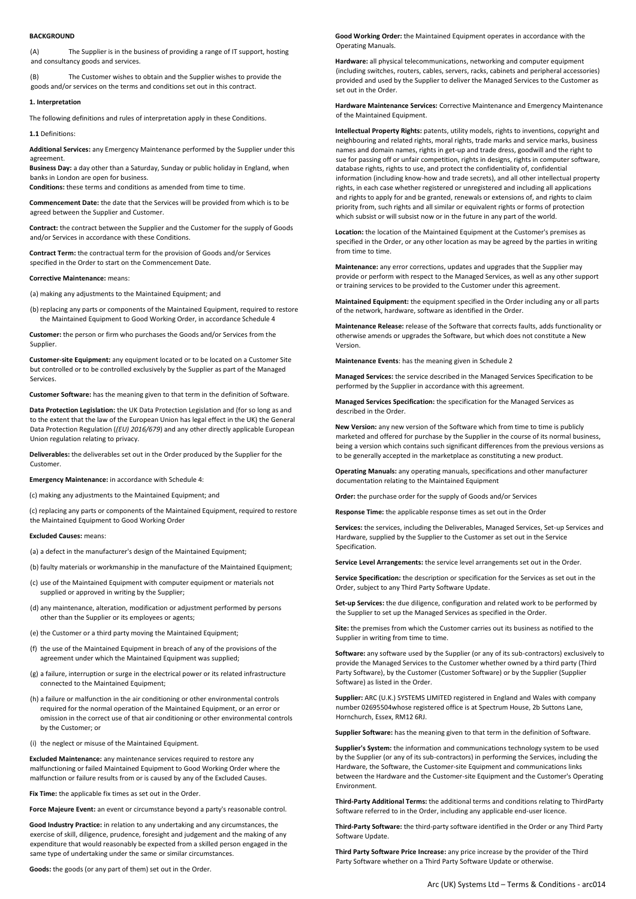### **BACKGROUND**

(A) The Supplier is in the business of providing a range of IT support, hosting and consultancy goods and services.

(B) The Customer wishes to obtain and the Supplier wishes to provide the goods and/or services on the terms and conditions set out in this contract.

#### **1. Interpretation**

The following definitions and rules of interpretation apply in these Conditions.

**1.1** Definitions:

**Additional Services:** any Emergency Maintenance performed by the Supplier under this agreement.

**Business Day:** a day other than a Saturday, Sunday or public holiday in England, when banks in London are open for business.

**Conditions:** these terms and conditions as amended from time to time.

**Commencement Date:** the date that the Services will be provided from which is to be agreed between the Supplier and Customer.

**Contract:** the contract between the Supplier and the Customer for the supply of Goods and/or Services in accordance with these Conditions.

**Contract Term:** the contractual term for the provision of Goods and/or Services specified in the Order to start on the Commencement Date.

## **Corrective Maintenance:** means:

(a) making any adjustments to the Maintained Equipment; and

(b) replacing any parts or components of the Maintained Equipment, required to restore the Maintained Equipment to Good Working Order, in accordance Schedule 4

**Customer:** the person or firm who purchases the Goods and/or Services from the Supplier.

**Customer-site Equipment:** any equipment located or to be located on a Customer Site but controlled or to be controlled exclusively by the Supplier as part of the Managed Services.

**Customer Software:** has the meaning given to that term in the definition of Software.

**Data Protection Legislation:** the UK Data Protection Legislation and (for so long as and to the extent that the law of the European Union has legal effect in the UK) the General Data Protection Regulation (*(EU) 2016/679*) and any other directly applicable European Union regulation relating to privacy.

**Deliverables:** the deliverables set out in the Order produced by the Supplier for the Customer.

**Emergency Maintenance:** in accordance with Schedule 4:

(c) making any adjustments to the Maintained Equipment; and

(c) replacing any parts or components of the Maintained Equipment, required to restore the Maintained Equipment to Good Working Order

### **Excluded Causes:** means:

(a) a defect in the manufacturer's design of the Maintained Equipment;

(b) faulty materials or workmanship in the manufacture of the Maintained Equipment;

- (c) use of the Maintained Equipment with computer equipment or materials not supplied or approved in writing by the Supplier;
- (d) any maintenance, alteration, modification or adjustment performed by persons other than the Supplier or its employees or agents;
- (e) the Customer or a third party moving the Maintained Equipment;
- (f) the use of the Maintained Equipment in breach of any of the provisions of the agreement under which the Maintained Equipment was supplied;
- (g) a failure, interruption or surge in the electrical power or its related infrastructure connected to the Maintained Equipment;
- (h) a failure or malfunction in the air conditioning or other environmental controls required for the normal operation of the Maintained Equipment, or an error or omission in the correct use of that air conditioning or other environmental controls by the Customer; or
- (i) the neglect or misuse of the Maintained Equipment.

**Excluded Maintenance:** any maintenance services required to restore any malfunctioning or failed Maintained Equipment to Good Working Order where the malfunction or failure results from or is caused by any of the Excluded Causes.

**Fix Time:** the applicable fix times as set out in the Order.

**Force Majeure Event:** an event or circumstance beyond a party's reasonable control.

**Good Industry Practice:** in relation to any undertaking and any circumstances, the exercise of skill, diligence, prudence, foresight and judgement and the making of any expenditure that would reasonably be expected from a skilled person engaged in the same type of undertaking under the same or similar circumstances.

**Goods:** the goods (or any part of them) set out in the Order.

**Good Working Order:** the Maintained Equipment operates in accordance with the Operating Manuals.

**Hardware:** all physical telecommunications, networking and computer equipment (including switches, routers, cables, servers, racks, cabinets and peripheral accessories) provided and used by the Supplier to deliver the Managed Services to the Customer as set out in the Order.

**Hardware Maintenance Services:** Corrective Maintenance and Emergency Maintenance of the Maintained Equipment.

**Intellectual Property Rights:** patents, utility models, rights to inventions, copyright and neighbouring and related rights, moral rights, trade marks and service marks, business names and domain names, rights in get-up and trade dress, goodwill and the right to sue for passing off or unfair competition, rights in designs, rights in computer software, database rights, rights to use, and protect the confidentiality of, confidential information (including know-how and trade secrets), and all other intellectual property rights, in each case whether registered or unregistered and including all applications and rights to apply for and be granted, renewals or extensions of, and rights to claim priority from, such rights and all similar or equivalent rights or forms of protection which subsist or will subsist now or in the future in any part of the world.

**Location:** the location of the Maintained Equipment at the Customer's premises as specified in the Order, or any other location as may be agreed by the parties in writing from time to time

**Maintenance:** any error corrections, updates and upgrades that the Supplier may provide or perform with respect to the Managed Services, as well as any other support or training services to be provided to the Customer under this agreement.

**Maintained Equipment:** the equipment specified in the Order including any or all parts of the network, hardware, software as identified in the Order.

**Maintenance Release:** release of the Software that corrects faults, adds functionality or otherwise amends or upgrades the Software, but which does not constitute a New Version.

**Maintenance Events**: has the meaning given in Schedule 2

**Managed Services:** the service described in the Managed Services Specification to be performed by the Supplier in accordance with this agreement.

**Managed Services Specification:** the specification for the Managed Services as described in the Order.

**New Version:** any new version of the Software which from time to time is publicly marketed and offered for purchase by the Supplier in the course of its normal business, being a version which contains such significant differences from the previous versions as to be generally accepted in the marketplace as constituting a new product.

**Operating Manuals:** any operating manuals, specifications and other manufacturer documentation relating to the Maintained Equipment

**Order:** the purchase order for the supply of Goods and/or Services

**Response Time:** the applicable response times as set out in the Order

**Services:** the services, including the Deliverables, Managed Services, Set-up Services and Hardware, supplied by the Supplier to the Customer as set out in the Service **Specification** 

**Service Level Arrangements:** the service level arrangements set out in the Order.

**Service Specification:** the description or specification for the Services as set out in the Order, subject to any Third Party Software Update.

**Set-up Services:** the due diligence, configuration and related work to be performed by the Supplier to set up the Managed Services as specified in the Order.

**Site:** the premises from which the Customer carries out its business as notified to the Supplier in writing from time to time.

**Software:** any software used by the Supplier (or any of its sub-contractors) exclusively to provide the Managed Services to the Customer whether owned by a third party (Third Party Software), by the Customer (Customer Software) or by the Supplier (Supplier Software) as listed in the Order.

**Supplier:** ARC (U.K.) SYSTEMS LIMITED registered in England and Wales with company number 02695504whose registered office is at Spectrum House, 2b Suttons Lane, Hornchurch, Essex, RM12 6RJ.

**Supplier Software:** has the meaning given to that term in the definition of Software.

**Supplier's System:** the information and communications technology system to be used by the Supplier (or any of its sub-contractors) in performing the Services, including the Hardware, the Software, the Customer-site Equipment and communications links between the Hardware and the Customer-site Equipment and the Customer's Operating Environment.

**Third-Party Additional Terms:** the additional terms and conditions relating to ThirdParty Software referred to in the Order, including any applicable end-user licence.

**Third-Party Software:** the third-party software identified in the Order or any Third Party Software Update.

**Third Party Software Price Increase:** any price increase by the provider of the Third Party Software whether on a Third Party Software Update or otherwise.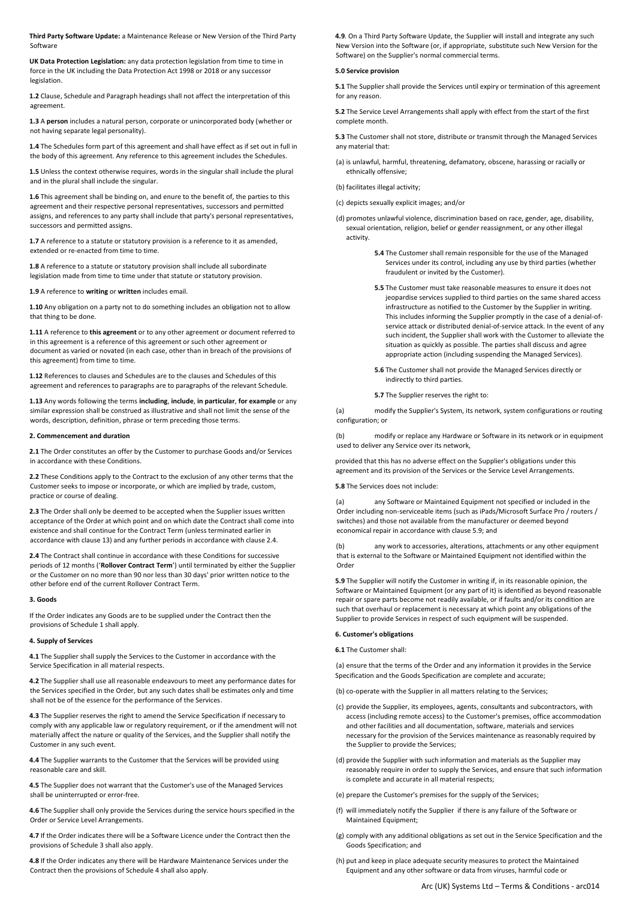**Third Party Software Update:** a Maintenance Release or New Version of the Third Party Software

**UK Data Protection Legislation:** any data protection legislation from time to time in force in the UK including the Data Protection Act 1998 or 2018 or any successor legislation.

**1.2** Clause, Schedule and Paragraph headings shall not affect the interpretation of this agreement.

**1.3** A **person** includes a natural person, corporate or unincorporated body (whether or not having separate legal personality).

**1.4** The Schedules form part of this agreement and shall have effect as if set out in full in the body of this agreement. Any reference to this agreement includes the Schedules.

**1.5** Unless the context otherwise requires, words in the singular shall include the plural and in the plural shall include the singular.

**1.6** This agreement shall be binding on, and enure to the benefit of, the parties to this agreement and their respective personal representatives, successors and permitted assigns, and references to any party shall include that party's personal representatives, successors and permitted assigns.

**1.7** A reference to a statute or statutory provision is a reference to it as amended, extended or re-enacted from time to time

**1.8** A reference to a statute or statutory provision shall include all subordinate legislation made from time to time under that statute or statutory provision.

**1.9** A reference to **writing** or **written** includes email.

**1.10** Any obligation on a party not to do something includes an obligation not to allow that thing to be done.

**1.11** A reference to **this agreement** or to any other agreement or document referred to in this agreement is a reference of this agreement or such other agreement or document as varied or novated (in each case, other than in breach of the provisions of this agreement) from time to time.

**1.12** References to clauses and Schedules are to the clauses and Schedules of this agreement and references to paragraphs are to paragraphs of the relevant Schedule.

**1.13** Any words following the terms **including**, **include**, **in particular**, **for example** or any similar expression shall be construed as illustrative and shall not limit the sense of the words, description, definition, phrase or term preceding those terms.

## **2. Commencement and duration**

**2.1** The Order constitutes an offer by the Customer to purchase Goods and/or Services in accordance with these Conditions.

**2.2** These Conditions apply to the Contract to the exclusion of any other terms that the Customer seeks to impose or incorporate, or which are implied by trade, custom, practice or course of dealing.

**2.3** The Order shall only be deemed to be accepted when the Supplier issues written acceptance of the Order at which point and on which date the Contract shall come into existence and shall continue for the Contract Term (unless terminated earlier in accordance with clause 13) and any further periods in accordance with clause 2.4.

**2.4** The Contract shall continue in accordance with these Conditions for successive periods of 12 months ('**Rollover Contract Term**') until terminated by either the Supplier or the Customer on no more than 90 nor less than 30 days' prior written notice to the other before end of the current Rollover Contract Term.

## **3. Goods**

If the Order indicates any Goods are to be supplied under the Contract then the provisions of Schedule 1 shall apply.

## **4. Supply of Services**

**4.1** The Supplier shall supply the Services to the Customer in accordance with the Service Specification in all material respects.

**4.2** The Supplier shall use all reasonable endeavours to meet any performance dates for the Services specified in the Order, but any such dates shall be estimates only and time shall not be of the essence for the performance of the Services.

**4.3** The Supplier reserves the right to amend the Service Specification if necessary to comply with any applicable law or regulatory requirement, or if the amendment will not materially affect the nature or quality of the Services, and the Supplier shall notify the Customer in any such event.

**4.4** The Supplier warrants to the Customer that the Services will be provided using reasonable care and skill.

**4.5** The Supplier does not warrant that the Customer's use of the Managed Services shall be uninterrupted or error-free.

**4.6** The Supplier shall only provide the Services during the service hours specified in the Order or Service Level Arrangements.

**4.7** If the Order indicates there will be a Software Licence under the Contract then the provisions of Schedule 3 shall also apply.

**4.8** If the Order indicates any there will be Hardware Maintenance Services under the Contract then the provisions of Schedule 4 shall also apply.

**4.9**. On a Third Party Software Update, the Supplier will install and integrate any such New Version into the Software (or, if appropriate, substitute such New Version for the Software) on the Supplier's normal commercial terms.

## **5.0 Service provision**

**5.1** The Supplier shall provide the Services until expiry or termination of this agreement for any reason.

**5.2** The Service Level Arrangements shall apply with effect from the start of the first complete month.

**5.3** The Customer shall not store, distribute or transmit through the Managed Services any material that:

- (a) is unlawful, harmful, threatening, defamatory, obscene, harassing or racially or ethnically offensive;
- (b) facilitates illegal activity;
- (c) depicts sexually explicit images; and/or
- (d) promotes unlawful violence, discrimination based on race, gender, age, disability, sexual orientation, religion, belief or gender reassignment, or any other illegal activity.
	- **5.4** The Customer shall remain responsible for the use of the Managed Services under its control, including any use by third parties (whether fraudulent or invited by the Customer).
	- **5.5** The Customer must take reasonable measures to ensure it does not jeopardise services supplied to third parties on the same shared access infrastructure as notified to the Customer by the Supplier in writing. This includes informing the Supplier promptly in the case of a denial-ofservice attack or distributed denial-of-service attack. In the event of any such incident, the Supplier shall work with the Customer to alleviate the situation as quickly as possible. The parties shall discuss and agree appropriate action (including suspending the Managed Services).
	- **5.6** The Customer shall not provide the Managed Services directly or indirectly to third parties.

**5.7** The Supplier reserves the right to:

(a) modify the Supplier's System, its network, system configurations or routing configuration; or

(b) modify or replace any Hardware or Software in its network or in equipment used to deliver any Service over its network,

provided that this has no adverse effect on the Supplier's obligations under this agreement and its provision of the Services or the Service Level Arrangements.

**5.8** The Services does not include:

(a) any Software or Maintained Equipment not specified or included in the Order including non-serviceable items (such as iPads/Microsoft Surface Pro / routers / switches) and those not available from the manufacturer or deemed beyond economical repair in accordance with clause 5.9; and

(b) any work to accessories, alterations, attachments or any other equipment that is external to the Software or Maintained Equipment not identified within the Order

**5.9** The Supplier will notify the Customer in writing if, in its reasonable opinion, the Software or Maintained Equipment (or any part of it) is identified as beyond reasonable repair or spare parts become not readily available, or if faults and/or its condition are such that overhaul or replacement is necessary at which point any obligations of the Supplier to provide Services in respect of such equipment will be suspended.

# **6. Customer's obligations**

**6.1** The Customer shall:

(a) ensure that the terms of the Order and any information it provides in the Service Specification and the Goods Specification are complete and accurate;

(b) co-operate with the Supplier in all matters relating to the Services;

- (c) provide the Supplier, its employees, agents, consultants and subcontractors, with access (including remote access) to the Customer's premises, office accommodation and other facilities and all documentation, software, materials and services necessary for the provision of the Services maintenance as reasonably required by the Supplier to provide the Services;
- (d) provide the Supplier with such information and materials as the Supplier may reasonably require in order to supply the Services, and ensure that such information is complete and accurate in all material respects;
- (e) prepare the Customer's premises for the supply of the Services;
- (f) will immediately notify the Supplier if there is any failure of the Software or Maintained Equipment;
- (g) comply with any additional obligations as set out in the Service Specification and the Goods Specification; and
- (h) put and keep in place adequate security measures to protect the Maintained Equipment and any other software or data from viruses, harmful code or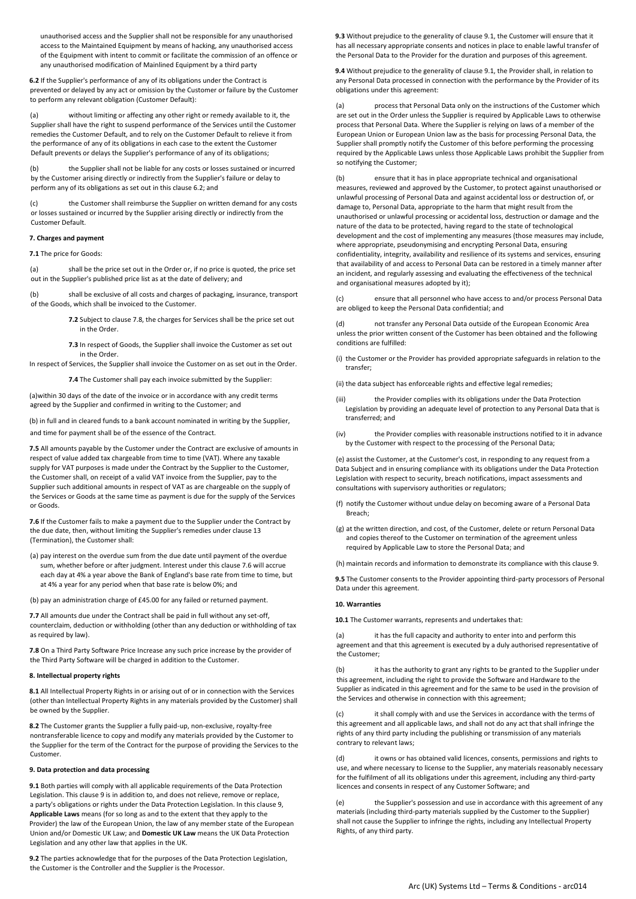unauthorised access and the Supplier shall not be responsible for any unauthorised access to the Maintained Equipment by means of hacking, any unauthorised access of the Equipment with intent to commit or facilitate the commission of an offence or any unauthorised modification of Mainlined Equipment by a third party

**6.2** If the Supplier's performance of any of its obligations under the Contract is prevented or delayed by any act or omission by the Customer or failure by the Customer to perform any relevant obligation (Customer Default):

(a) without limiting or affecting any other right or remedy available to it, the Supplier shall have the right to suspend performance of the Services until the Customer remedies the Customer Default, and to rely on the Customer Default to relieve it from the performance of any of its obligations in each case to the extent the Customer Default prevents or delays the Supplier's performance of any of its obligations;

(b) the Supplier shall not be liable for any costs or losses sustained or incurred by the Customer arising directly or indirectly from the Supplier's failure or delay to perform any of its obligations as set out in this clause 6.2; and

(c) the Customer shall reimburse the Supplier on written demand for any costs or losses sustained or incurred by the Supplier arising directly or indirectly from the Customer Default.

## **7. Charges and payment**

**7.1** The price for Goods:

(a) shall be the price set out in the Order or, if no price is quoted, the price set out in the Supplier's published price list as at the date of delivery; and

(b) shall be exclusive of all costs and charges of packaging, insurance, transport of the Goods, which shall be invoiced to the Customer.

> **7.2** Subject to clause 7.8, the charges for Services shall be the price set out in the Order.

> **7.3** In respect of Goods, the Supplier shall invoice the Customer as set out in the Order.

In respect of Services, the Supplier shall invoice the Customer on as set out in the Order.

**7.4** The Customer shall pay each invoice submitted by the Supplier:

(a)within 30 days of the date of the invoice or in accordance with any credit terms agreed by the Supplier and confirmed in writing to the Customer; and

(b) in full and in cleared funds to a bank account nominated in writing by the Supplier, and time for payment shall be of the essence of the Contract.

**7.5** All amounts payable by the Customer under the Contract are exclusive of amounts in respect of value added tax chargeable from time to time (VAT). Where any taxable supply for VAT purposes is made under the Contract by the Supplier to the Customer, the Customer shall, on receipt of a valid VAT invoice from the Supplier, pay to the Supplier such additional amounts in respect of VAT as are chargeable on the supply of the Services or Goods at the same time as payment is due for the supply of the Services or Goods.

**7.6** If the Customer fails to make a payment due to the Supplier under the Contract by the due date, then, without limiting the Supplier's remedies under clause 13 (Termination), the Customer shall:

- (a) pay interest on the overdue sum from the due date until payment of the overdue sum, whether before or after judgment. Interest under this clause 7.6 will accrue each day at 4% a year above the Bank of England's base rate from time to time, but at 4% a year for any period when that base rate is below 0%; and
- (b) pay an administration charge of £45.00 for any failed or returned payment.

**7.7** All amounts due under the Contract shall be paid in full without any set-off, counterclaim, deduction or withholding (other than any deduction or withholding of tax as required by law).

**7.8** On a Third Party Software Price Increase any such price increase by the provider of the Third Party Software will be charged in addition to the Customer.

#### **8. Intellectual property rights**

**8.1** All Intellectual Property Rights in or arising out of or in connection with the Services (other than Intellectual Property Rights in any materials provided by the Customer) shall be owned by the Supplier.

**8.2** The Customer grants the Supplier a fully paid-up, non-exclusive, royalty-free nontransferable licence to copy and modify any materials provided by the Customer to the Supplier for the term of the Contract for the purpose of providing the Services to the Customer.

### **9. Data protection and data processing**

**9.1** Both parties will comply with all applicable requirements of the Data Protection Legislation. This clause 9 is in addition to, and does not relieve, remove or replace, a party's obligations or rights under the Data Protection Legislation. In this clause 9, **Applicable Laws** means (for so long as and to the extent that they apply to the Provider) the law of the European Union, the law of any member state of the European Union and/or Domestic UK Law; and **Domestic UK Law** means the UK Data Protection Legislation and any other law that applies in the UK.

**9.2** The parties acknowledge that for the purposes of the Data Protection Legislation, the Customer is the Controller and the Supplier is the Processor.

**9.3** Without prejudice to the generality of clause 9.1, the Customer will ensure that it has all necessary appropriate consents and notices in place to enable lawful transfer of the Personal Data to the Provider for the duration and purposes of this agreement.

**9.4** Without prejudice to the generality of clause 9.1, the Provider shall, in relation to any Personal Data processed in connection with the performance by the Provider of its obligations under this agreement:

(a) process that Personal Data only on the instructions of the Customer which are set out in the Order unless the Supplier is required by Applicable Laws to otherwise process that Personal Data. Where the Supplier is relying on laws of a member of the European Union or European Union law as the basis for processing Personal Data, the Supplier shall promptly notify the Customer of this before performing the processing required by the Applicable Laws unless those Applicable Laws prohibit the Supplier from so notifying the Customer;

(b) ensure that it has in place appropriate technical and organisational measures, reviewed and approved by the Customer, to protect against unauthorised or unlawful processing of Personal Data and against accidental loss or destruction of, or damage to, Personal Data, appropriate to the harm that might result from the unauthorised or unlawful processing or accidental loss, destruction or damage and the nature of the data to be protected, having regard to the state of technological development and the cost of implementing any measures (those measures may include, where appropriate, pseudonymising and encrypting Personal Data, ensuring confidentiality, integrity, availability and resilience of its systems and services, ensuring that availability of and access to Personal Data can be restored in a timely manner after an incident, and regularly assessing and evaluating the effectiveness of the technical and organisational measures adopted by it);

(c) ensure that all personnel who have access to and/or process Personal Data are obliged to keep the Personal Data confidential; and

(d) not transfer any Personal Data outside of the European Economic Area unless the prior written consent of the Customer has been obtained and the following conditions are fulfilled:

- (i) the Customer or the Provider has provided appropriate safeguards in relation to the transfer;
- (ii) the data subject has enforceable rights and effective legal remedies;
- (iii) the Provider complies with its obligations under the Data Protection Legislation by providing an adequate level of protection to any Personal Data that is transferred; and
- (iv) the Provider complies with reasonable instructions notified to it in advance by the Customer with respect to the processing of the Personal Data;

(e) assist the Customer, at the Customer's cost, in responding to any request from a Data Subject and in ensuring compliance with its obligations under the Data Protection Legislation with respect to security, breach notifications, impact assessments and consultations with supervisory authorities or regulators;

- (f) notify the Customer without undue delay on becoming aware of a Personal Data Breach;
- (g) at the written direction, and cost, of the Customer, delete or return Personal Data and copies thereof to the Customer on termination of the agreement unless required by Applicable Law to store the Personal Data; and
- (h) maintain records and information to demonstrate its compliance with this clause 9.

**9.5** The Customer consents to the Provider appointing third-party processors of Personal Data under this agreement.

#### **10. Warranties**

**10.1** The Customer warrants, represents and undertakes that:

(a) it has the full capacity and authority to enter into and perform this agreement and that this agreement is executed by a duly authorised representative of the Customer;

(b) it has the authority to grant any rights to be granted to the Supplier under this agreement, including the right to provide the Software and Hardware to the Supplier as indicated in this agreement and for the same to be used in the provision of the Services and otherwise in connection with this agreement;

it shall comply with and use the Services in accordance with the terms of this agreement and all applicable laws, and shall not do any act that shall infringe the rights of any third party including the publishing or transmission of any materials contrary to relevant laws;

(d) it owns or has obtained valid licences, consents, permissions and rights to use, and where necessary to license to the Supplier, any materials reasonably necessary for the fulfilment of all its obligations under this agreement, including any third-party licences and consents in respect of any Customer Software; and

(e) the Supplier's possession and use in accordance with this agreement of any materials (including third-party materials supplied by the Customer to the Supplier) shall not cause the Supplier to infringe the rights, including any Intellectual Property Rights, of any third party.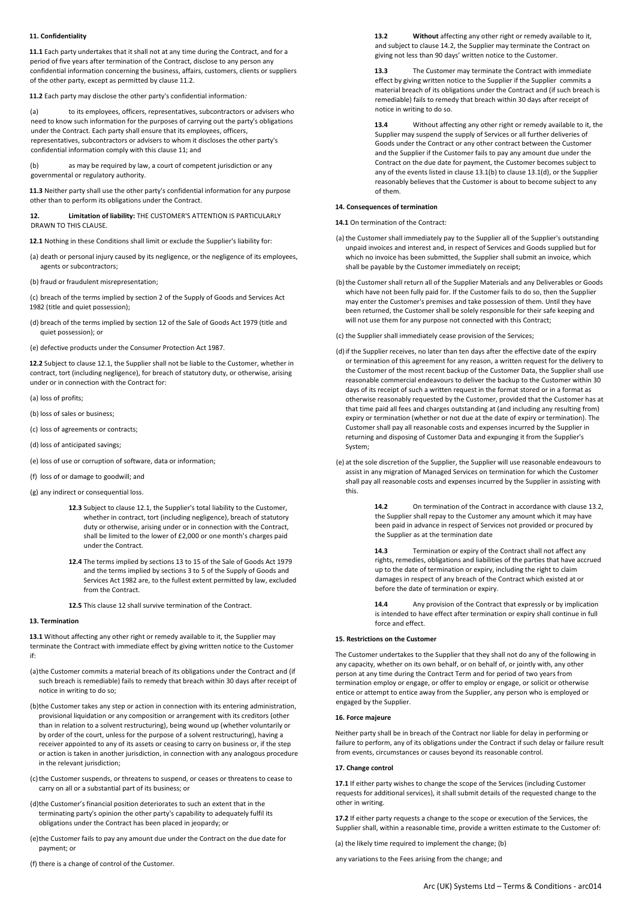## **11. Confidentiality**

**11.1** Each party undertakes that it shall not at any time during the Contract, and for a period of five years after termination of the Contract, disclose to any person any confidential information concerning the business, affairs, customers, clients or suppliers of the other party, except as permitted by clause 11.2*.*

**11.2** Each party may disclose the other party's confidential information*:*

(a) to its employees, officers, representatives, subcontractors or advisers who need to know such information for the purposes of carrying out the party's obligations under the Contract. Each party shall ensure that its employees, officers, representatives, subcontractors or advisers to whom it discloses the other party's confidential information comply with this clause 11; and

(b) as may be required by law, a court of competent jurisdiction or any governmental or regulatory authority*.*

**11.3** Neither party shall use the other party's confidential information for any purpose other than to perform its obligations under the Contract.

**12. Limitation of liability:** THE CUSTOMER'S ATTENTION IS PARTICULARLY DRAWN TO THIS CLAUSE.

**12.1** Nothing in these Conditions shall limit or exclude the Supplier's liability for:

- (a) death or personal injury caused by its negligence, or the negligence of its employees, agents or subcontractors;
- (b) fraud or fraudulent misrepresentation;

(c) breach of the terms implied by section 2 of the Supply of Goods and Services Act 1982 (title and quiet possession);

(d) breach of the terms implied by section 12 of the Sale of Goods Act 1979 (title and quiet possession); or

(e) defective products under the Consumer Protection Act 1987.

**12.2** Subject to clause 12.1, the Supplier shall not be liable to the Customer, whether in contract, tort (including negligence), for breach of statutory duty, or otherwise, arising under or in connection with the Contract for:

- (a) loss of profits;
- (b) loss of sales or business;
- (c) loss of agreements or contracts;
- (d) loss of anticipated savings;
- (e) loss of use or corruption of software, data or information;
- (f) loss of or damage to goodwill; and
- (g) any indirect or consequential loss.
	- **12.3** Subject to clause 12.1, the Supplier's total liability to the Customer, whether in contract, tort (including negligence), breach of statutory duty or otherwise, arising under or in connection with the Contract, shall be limited to the lower of £2,000 or one month's charges paid under the Contract.
	- **12.4** The terms implied by sections 13 to 15 of the Sale of Goods Act 1979 and the terms implied by sections 3 to 5 of the Supply of Goods and Services Act 1982 are, to the fullest extent permitted by law, excluded from the Contract.
	- **12.5** This clause 12 shall survive termination of the Contract.

## **13. Termination**

**13.1** Without affecting any other right or remedy available to it, the Supplier may terminate the Contract with immediate effect by giving written notice to the Customer if:

- (a)the Customer commits a material breach of its obligations under the Contract and (if such breach is remediable) fails to remedy that breach within 30 days after receipt of notice in writing to do so;
- (b)the Customer takes any step or action in connection with its entering administration, provisional liquidation or any composition or arrangement with its creditors (other than in relation to a solvent restructuring), being wound up (whether voluntarily or by order of the court, unless for the purpose of a solvent restructuring), having a receiver appointed to any of its assets or ceasing to carry on business or, if the step or action is taken in another jurisdiction, in connection with any analogous procedure in the relevant jurisdiction;
- (c)the Customer suspends, or threatens to suspend, or ceases or threatens to cease to carry on all or a substantial part of its business; or

(d)the Customer's financial position deteriorates to such an extent that in the terminating party's opinion the other party's capability to adequately fulfil its obligations under the Contract has been placed in jeopardy; or

- (e)the Customer fails to pay any amount due under the Contract on the due date for payment; or
- (f) there is a change of control of the Customer.

**13.2 Without** affecting any other right or remedy available to it, and subject to clause 14.2, the Supplier may terminate the Contract on giving not less than 90 days' written notice to the Customer.

**13.3** The Customer may terminate the Contract with immediate effect by giving written notice to the Supplier if the Supplier commits a material breach of its obligations under the Contract and (if such breach is remediable) fails to remedy that breach within 30 days after receipt of notice in writing to do so.

**13.4** Without affecting any other right or remedy available to it, the Supplier may suspend the supply of Services or all further deliveries of Goods under the Contract or any other contract between the Customer and the Supplier if the Customer fails to pay any amount due under the Contract on the due date for payment, the Customer becomes subject to any of the events listed in clause 13.1(b) to clause 13.1(d), or the Supplier reasonably believes that the Customer is about to become subject to any of them.

# **14. Consequences of termination**

**14.1** On termination of the Contract:

- (a) the Customer shall immediately pay to the Supplier all of the Supplier's outstanding unpaid invoices and interest and, in respect of Services and Goods supplied but for which no invoice has been submitted, the Supplier shall submit an invoice, which shall be payable by the Customer immediately on receipt;
- (b)the Customer shall return all of the Supplier Materials and any Deliverables or Goods which have not been fully paid for. If the Customer fails to do so, then the Supplier may enter the Customer's premises and take possession of them. Until they have been returned, the Customer shall be solely responsible for their safe keeping and will not use them for any purpose not connected with this Contract:

(c) the Supplier shall immediately cease provision of the Services;

- (d)if the Supplier receives, no later than ten days after the effective date of the expiry or termination of this agreement for any reason, a written request for the delivery to the Customer of the most recent backup of the Customer Data, the Supplier shall use reasonable commercial endeavours to deliver the backup to the Customer within 30 days of its receipt of such a written request in the format stored or in a format as otherwise reasonably requested by the Customer, provided that the Customer has at that time paid all fees and charges outstanding at (and including any resulting from) expiry or termination (whether or not due at the date of expiry or termination). The Customer shall pay all reasonable costs and expenses incurred by the Supplier in returning and disposing of Customer Data and expunging it from the Supplier's System;
- (e) at the sole discretion of the Supplier, the Supplier will use reasonable endeavours to assist in any migration of Managed Services on termination for which the Customer shall pay all reasonable costs and expenses incurred by the Supplier in assisting with this.

**14.2** On termination of the Contract in accordance with clause 13.2, the Supplier shall repay to the Customer any amount which it may have been paid in advance in respect of Services not provided or procured by the Supplier as at the termination date

**14.3** Termination or expiry of the Contract shall not affect any rights, remedies, obligations and liabilities of the parties that have accrued up to the date of termination or expiry, including the right to claim damages in respect of any breach of the Contract which existed at or before the date of termination or expiry.

**14.4** Any provision of the Contract that expressly or by implication is intended to have effect after termination or expiry shall continue in full force and effect.

## **15. Restrictions on the Customer**

The Customer undertakes to the Supplier that they shall not do any of the following in any capacity, whether on its own behalf, or on behalf of, or jointly with, any other person at any time during the Contract Term and for period of two years from termination employ or engage, or offer to employ or engage, or solicit or otherwise entice or attempt to entice away from the Supplier, any person who is employed or engaged by the Supplier.

### **16. Force majeure**

Neither party shall be in breach of the Contract nor liable for delay in performing or failure to perform, any of its obligations under the Contract if such delay or failure result from events, circumstances or causes beyond its reasonable control.

### **17. Change control**

**17.1** If either party wishes to change the scope of the Services (including Customer requests for additional services), it shall submit details of the requested change to the other in writing.

**17.2** If either party requests a change to the scope or execution of the Services, the Supplier shall, within a reasonable time, provide a written estimate to the Customer of:

(a) the likely time required to implement the change; (b)

any variations to the Fees arising from the change; and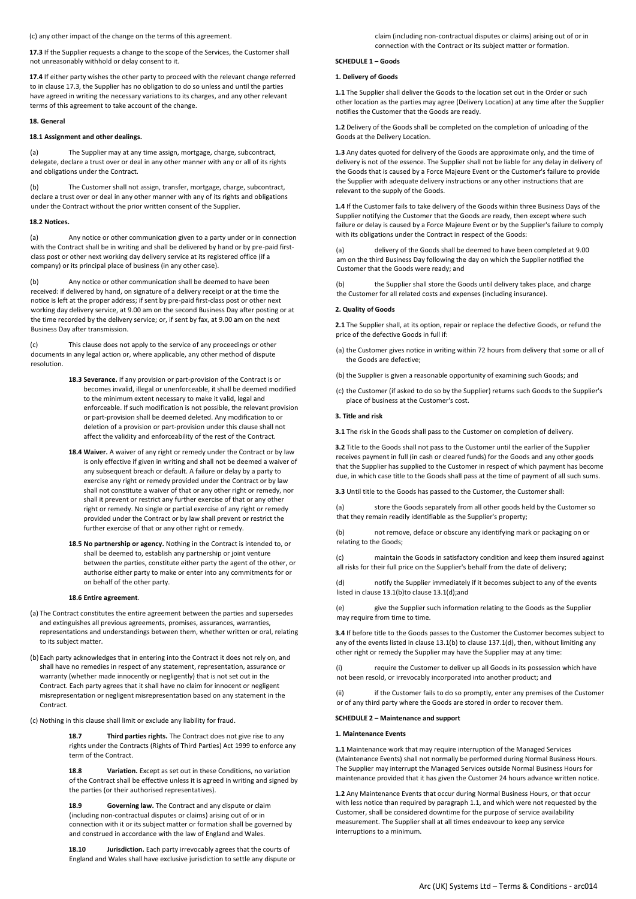(c) any other impact of the change on the terms of this agreement.

**17.3** If the Supplier requests a change to the scope of the Services, the Customer shall not unreasonably withhold or delay consent to it.

**17.4** If either party wishes the other party to proceed with the relevant change referred to in clause 17.3, the Supplier has no obligation to do so unless and until the parties have agreed in writing the necessary variations to its charges, and any other relevant terms of this agreement to take account of the change.

### **18. General**

## **18.1 Assignment and other dealings.**

(a) The Supplier may at any time assign, mortgage, charge, subcontract, delegate, declare a trust over or deal in any other manner with any or all of its rights and obligations under the Contract.

(b) The Customer shall not assign, transfer, mortgage, charge, subcontract, declare a trust over or deal in any other manner with any of its rights and obligations under the Contract without the prior written consent of the Supplier.

## **18.2 Notices.**

(a) Any notice or other communication given to a party under or in connection with the Contract shall be in writing and shall be delivered by hand or by pre-paid firstclass post or other next working day delivery service at its registered office (if a company) or its principal place of business (in any other case).

(b) Any notice or other communication shall be deemed to have been received: if delivered by hand, on signature of a delivery receipt or at the time the notice is left at the proper address; if sent by pre-paid first-class post or other next working day delivery service, at 9.00 am on the second Business Day after posting or at the time recorded by the delivery service; or, if sent by fax, at 9.00 am on the next Business Day after transmission.

(c) This clause does not apply to the service of any proceedings or other documents in any legal action or, where applicable, any other method of dispute resolution.

- **18.3 Severance.** If any provision or part-provision of the Contract is or becomes invalid, illegal or unenforceable, it shall be deemed modified to the minimum extent necessary to make it valid, legal and enforceable. If such modification is not possible, the relevant provision or part-provision shall be deemed deleted. Any modification to or deletion of a provision or part-provision under this clause shall not affect the validity and enforceability of the rest of the Contract.
- **18.4 Waiver.** A waiver of any right or remedy under the Contract or by law is only effective if given in writing and shall not be deemed a waiver of any subsequent breach or default. A failure or delay by a party to exercise any right or remedy provided under the Contract or by law shall not constitute a waiver of that or any other right or remedy, nor shall it prevent or restrict any further exercise of that or any other right or remedy. No single or partial exercise of any right or remedy provided under the Contract or by law shall prevent or restrict the further exercise of that or any other right or remedy.
- **18.5 No partnership or agency.** Nothing in the Contract is intended to, or shall be deemed to, establish any partnership or joint venture between the parties, constitute either party the agent of the other, or authorise either party to make or enter into any commitments for or on behalf of the other party.

#### **18.6 Entire agreement**.

- (a) The Contract constitutes the entire agreement between the parties and supersedes and extinguishes all previous agreements, promises, assurances, warranties, representations and understandings between them, whether written or oral, relating to its subject matter.
- (b) Each party acknowledges that in entering into the Contract it does not rely on, and shall have no remedies in respect of any statement, representation, assurance or warranty (whether made innocently or negligently) that is not set out in the Contract. Each party agrees that it shall have no claim for innocent or negligent misrepresentation or negligent misrepresentation based on any statement in the Contract.
- (c) Nothing in this clause shall limit or exclude any liability for fraud.

**18.7 Third parties rights.** The Contract does not give rise to any rights under the Contracts (Rights of Third Parties) Act 1999 to enforce any term of the Contract.

**18.8 Variation.** Except as set out in these Conditions, no variation of the Contract shall be effective unless it is agreed in writing and signed by the parties (or their authorised representatives).

**18.9 Governing law.** The Contract and any dispute or claim (including non-contractual disputes or claims) arising out of or in connection with it or its subject matter or formation shall be governed by and construed in accordance with the law of England and Wales.

**18.10 Jurisdiction.** Each party irrevocably agrees that the courts of England and Wales shall have exclusive jurisdiction to settle any dispute or claim (including non-contractual disputes or claims) arising out of or in connection with the Contract or its subject matter or formation.

## **SCHEDULE 1 – Goods**

## **1. Delivery of Goods**

**1.1** The Supplier shall deliver the Goods to the location set out in the Order or such other location as the parties may agree (Delivery Location) at any time after the Supplier notifies the Customer that the Goods are ready.

**1.2** Delivery of the Goods shall be completed on the completion of unloading of the Goods at the Delivery Location.

**1.3** Any dates quoted for delivery of the Goods are approximate only, and the time of delivery is not of the essence. The Supplier shall not be liable for any delay in delivery of the Goods that is caused by a Force Majeure Event or the Customer's failure to provide the Supplier with adequate delivery instructions or any other instructions that are relevant to the supply of the Goods.

**1.4** If the Customer fails to take delivery of the Goods within three Business Days of the Supplier notifying the Customer that the Goods are ready, then except where such failure or delay is caused by a Force Majeure Event or by the Supplier's failure to comply with its obligations under the Contract in respect of the Goods:

(a) delivery of the Goods shall be deemed to have been completed at 9.00 am on the third Business Day following the day on which the Supplier notified the Customer that the Goods were ready; and

the Supplier shall store the Goods until delivery takes place, and charge the Customer for all related costs and expenses (including insurance).

### **2. Quality of Goods**

**2.1** The Supplier shall, at its option, repair or replace the defective Goods, or refund the price of the defective Goods in full if:

- (a) the Customer gives notice in writing within 72 hours from delivery that some or all of the Goods are defective;
- (b) the Supplier is given a reasonable opportunity of examining such Goods; and
- (c) the Customer (if asked to do so by the Supplier) returns such Goods to the Supplier's place of business at the Customer's cost.

## **3. Title and risk**

**3.1** The risk in the Goods shall pass to the Customer on completion of delivery.

**3.2** Title to the Goods shall not pass to the Customer until the earlier of the Supplier receives payment in full (in cash or cleared funds) for the Goods and any other goods that the Supplier has supplied to the Customer in respect of which payment has become due, in which case title to the Goods shall pass at the time of payment of all such sums.

**3.3** Until title to the Goods has passed to the Customer, the Customer shall:

(a) store the Goods separately from all other goods held by the Customer so that they remain readily identifiable as the Supplier's property;

(b) not remove, deface or obscure any identifying mark or packaging on or relating to the Goods;

(c) maintain the Goods in satisfactory condition and keep them insured against all risks for their full price on the Supplier's behalf from the date of delivery;

(d) notify the Supplier immediately if it becomes subject to any of the events listed in clause 13.1(b)to clause 13.1(d);and

(e) give the Supplier such information relating to the Goods as the Supplier may require from time to time.

**3.4** If before title to the Goods passes to the Customer the Customer becomes subject to any of the events listed in clause 13.1(b) to clause 137.1(d), then, without limiting any other right or remedy the Supplier may have the Supplier may at any time:

(i) require the Customer to deliver up all Goods in its possession which have not been resold, or irrevocably incorporated into another product; and

(ii) if the Customer fails to do so promptly, enter any premises of the Customer or of any third party where the Goods are stored in order to recover them.

### **SCHEDULE 2 – Maintenance and support**

#### **1. Maintenance Events**

**1.1** Maintenance work that may require interruption of the Managed Services (Maintenance Events) shall not normally be performed during Normal Business Hours. The Supplier may interrupt the Managed Services outside Normal Business Hours for maintenance provided that it has given the Customer 24 hours advance written notice.

**1.2** Any Maintenance Events that occur during Normal Business Hours, or that occur with less notice than required by paragraph 1.1, and which were not requested by the Customer, shall be considered downtime for the purpose of service availability measurement. The Supplier shall at all times endeavour to keep any service interruptions to a minimum.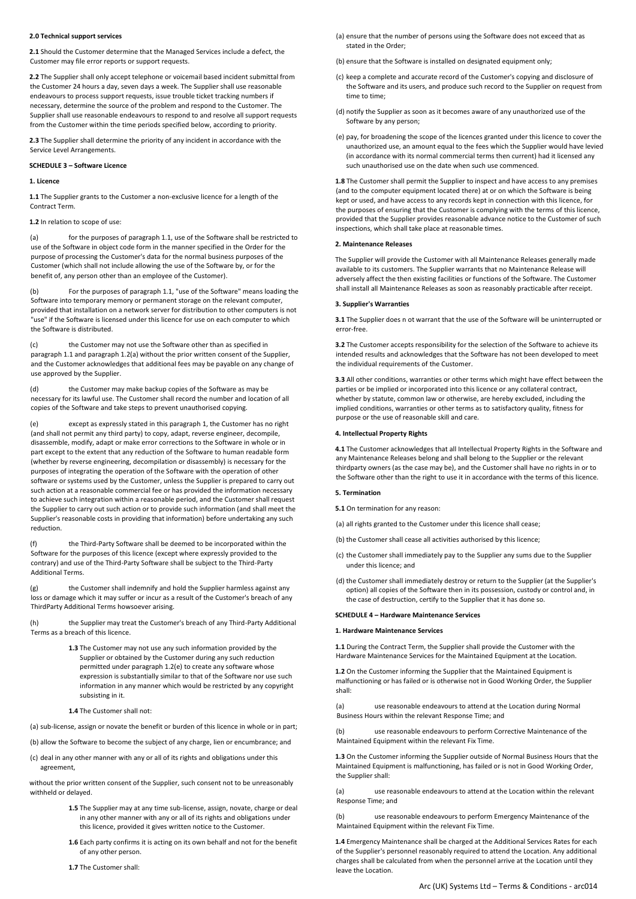## **2.0 Technical support services**

**2.1** Should the Customer determine that the Managed Services include a defect, the Customer may file error reports or support requests.

**2.2** The Supplier shall only accept telephone or voicemail based incident submittal from the Customer 24 hours a day, seven days a week. The Supplier shall use reasonable endeavours to process support requests, issue trouble ticket tracking numbers if necessary, determine the source of the problem and respond to the Customer. The Supplier shall use reasonable endeavours to respond to and resolve all support requests from the Customer within the time periods specified below, according to priority.

**2.3** The Supplier shall determine the priority of any incident in accordance with the Service Level Arrangements.

#### **SCHEDULE 3 – Software Licence**

### **1. Licence**

**1.1** The Supplier grants to the Customer a non-exclusive licence for a length of the Contract Term.

## **1.2** In relation to scope of use:

(a) for the purposes of paragraph 1.1, use of the Software shall be restricted to use of the Software in object code form in the manner specified in the Order for the purpose of processing the Customer's data for the normal business purposes of the Customer (which shall not include allowing the use of the Software by, or for the benefit of, any person other than an employee of the Customer).

(b) For the purposes of paragraph 1.1, "use of the Software" means loading the Software into temporary memory or permanent storage on the relevant computer, provided that installation on a network server for distribution to other computers is not "use" if the Software is licensed under this licence for use on each computer to which the Software is distributed.

(c) the Customer may not use the Software other than as specified in paragraph 1.1 and paragraph 1.2(a) without the prior written consent of the Supplier, and the Customer acknowledges that additional fees may be payable on any change of use approved by the Supplier.

(d) the Customer may make backup copies of the Software as may be necessary for its lawful use. The Customer shall record the number and location of all copies of the Software and take steps to prevent unauthorised copying.

(e) except as expressly stated in this paragraph 1, the Customer has no right (and shall not permit any third party) to copy, adapt, reverse engineer, decompile, disassemble, modify, adapt or make error corrections to the Software in whole or in part except to the extent that any reduction of the Software to human readable form (whether by reverse engineering, decompilation or disassembly) is necessary for the purposes of integrating the operation of the Software with the operation of other software or systems used by the Customer, unless the Supplier is prepared to carry out such action at a reasonable commercial fee or has provided the information necessary to achieve such integration within a reasonable period, and the Customer shall request the Supplier to carry out such action or to provide such information (and shall meet the Supplier's reasonable costs in providing that information) before undertaking any such reduction.

the Third-Party Software shall be deemed to be incorporated within the Software for the purposes of this licence (except where expressly provided to the contrary) and use of the Third-Party Software shall be subject to the Third-Party Additional Terms.

(g) the Customer shall indemnify and hold the Supplier harmless against any loss or damage which it may suffer or incur as a result of the Customer's breach of any ThirdParty Additional Terms howsoever arising.

(h) the Supplier may treat the Customer's breach of any Third-Party Additional Terms as a breach of this licence.

- **1.3** The Customer may not use any such information provided by the Supplier or obtained by the Customer during any such reduction permitted under paragraph 1.2(e) to create any software whose expression is substantially similar to that of the Software nor use such information in any manner which would be restricted by any copyright subsisting in it.
- **1.4** The Customer shall not:
- (a) sub-license, assign or novate the benefit or burden of this licence in whole or in part;

(b) allow the Software to become the subject of any charge, lien or encumbrance; and

(c) deal in any other manner with any or all of its rights and obligations under this agreement,

without the prior written consent of the Supplier, such consent not to be unreasonably withheld or delayed.

- **1.5** The Supplier may at any time sub-license, assign, novate, charge or deal in any other manner with any or all of its rights and obligations under this licence, provided it gives written notice to the Customer.
- **1.6** Each party confirms it is acting on its own behalf and not for the benefit of any other person.
- **1.7** The Customer shall:
- (a) ensure that the number of persons using the Software does not exceed that as stated in the Order;
- (b) ensure that the Software is installed on designated equipment only;
- (c) keep a complete and accurate record of the Customer's copying and disclosure of the Software and its users, and produce such record to the Supplier on request from time to time;
- (d) notify the Supplier as soon as it becomes aware of any unauthorized use of the Software by any person;
- (e) pay, for broadening the scope of the licences granted under this licence to cover the unauthorized use, an amount equal to the fees which the Supplier would have levied (in accordance with its normal commercial terms then current) had it licensed any such unauthorised use on the date when such use commenced.

**1.8** The Customer shall permit the Supplier to inspect and have access to any premises (and to the computer equipment located there) at or on which the Software is being kept or used, and have access to any records kept in connection with this licence, for the purposes of ensuring that the Customer is complying with the terms of this licence, provided that the Supplier provides reasonable advance notice to the Customer of such inspections, which shall take place at reasonable times.

#### **2. Maintenance Releases**

The Supplier will provide the Customer with all Maintenance Releases generally made available to its customers. The Supplier warrants that no Maintenance Release will adversely affect the then existing facilities or functions of the Software. The Customer shall install all Maintenance Releases as soon as reasonably practicable after receipt.

#### **3. Supplier's Warranties**

**3.1** The Supplier does n ot warrant that the use of the Software will be uninterrupted or error-free.

**3.2** The Customer accepts responsibility for the selection of the Software to achieve its intended results and acknowledges that the Software has not been developed to meet the individual requirements of the Customer.

**3.3** All other conditions, warranties or other terms which might have effect between the parties or be implied or incorporated into this licence or any collateral contract, whether by statute, common law or otherwise, are hereby excluded, including the implied conditions, warranties or other terms as to satisfactory quality, fitness for purpose or the use of reasonable skill and care.

#### **4. Intellectual Property Rights**

**4.1** The Customer acknowledges that all Intellectual Property Rights in the Software and any Maintenance Releases belong and shall belong to the Supplier or the relevant thirdparty owners (as the case may be), and the Customer shall have no rights in or to the Software other than the right to use it in accordance with the terms of this licence.

#### **5. Termination**

**5.1** On termination for any reason:

- (a) all rights granted to the Customer under this licence shall cease;
- (b) the Customer shall cease all activities authorised by this licence;
- (c) the Customer shall immediately pay to the Supplier any sums due to the Supplier under this licence; and
- (d) the Customer shall immediately destroy or return to the Supplier (at the Supplier's option) all copies of the Software then in its possession, custody or control and, in the case of destruction, certify to the Supplier that it has done so.

#### **SCHEDULE 4 – Hardware Maintenance Services**

#### **1. Hardware Maintenance Services**

**1.1** During the Contract Term, the Supplier shall provide the Customer with the Hardware Maintenance Services for the Maintained Equipment at the Location.

**1.2** On the Customer informing the Supplier that the Maintained Equipment is malfunctioning or has failed or is otherwise not in Good Working Order, the Supplier shall:

(a) use reasonable endeavours to attend at the Location during Normal Business Hours within the relevant Response Time; and

(b) use reasonable endeavours to perform Corrective Maintenance of the Maintained Equipment within the relevant Fix Time.

**1.3** On the Customer informing the Supplier outside of Normal Business Hours that the Maintained Equipment is malfunctioning, has failed or is not in Good Working Order, the Supplier shall:

(a) use reasonable endeavours to attend at the Location within the relevant Response Time; and

(b) use reasonable endeavours to perform Emergency Maintenance of the Maintained Equipment within the relevant Fix Time.

**1.4** Emergency Maintenance shall be charged at the Additional Services Rates for each of the Supplier's personnel reasonably required to attend the Location. Any additional charges shall be calculated from when the personnel arrive at the Location until they leave the Location.